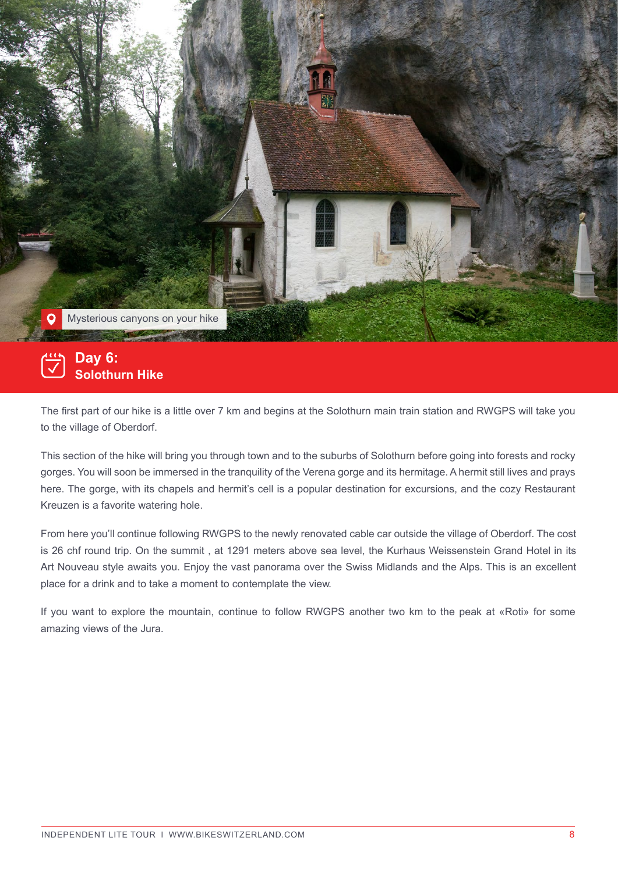

## $\left[\frac{1}{2}\right]$ **Day 6:Solothurn Hike**

The first part of our hike is a little over 7 km and begins at the Solothurn main train station and RWGPS will take you to the village of Oberdorf.

This section of the hike will bring you through town and to the suburbs of Solothurn before going into forests and rocky gorges. You will soon be immersed in the tranquility of the Verena gorge and its hermitage. A hermit still lives and prays here. The gorge, with its chapels and hermit's cell is a popular destination for excursions, and the cozy Restaurant Kreuzen is a favorite watering hole.

 is 26 chf round trip. On the summit , at 1291 meters above sea level, the Kurhaus Weissenstein Grand Hotel in its From here you'll continue following RWGPS to the newly renovated cable car outside the village of Oberdorf. The cost Art Nouveau style awaits you. Enjoy the vast panorama over the Swiss Midlands and the Alps. This is an excellent place for a drink and to take a moment to contemplate the view.

If you want to explore the mountain, continue to follow RWGPS another two km to the peak at «Roti» for some amazing views of the Jura.